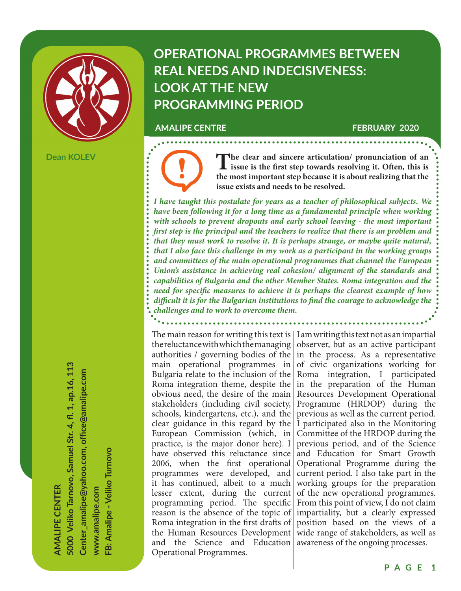

**Dean KOLEV**

**OPERATIONAL PROGRAMMES BETWEEN REAL NEEDS AND INDECISIVENESS: LOOK AT THE NEW PROGRAMMING PERIOD**

#### **AMALIPE CENTRE FEBRUARY 2020**

The clear and sincere articulation/ pronunciation of an issue is the first step towards resolving it. Often, this is the meeting attached a home it is a host multiple that the **the most important step because it is about realizing that the issue exists and needs to be resolved.**

. . . . . . . . . . . . . . . . . . .

*I have taught this postulate for years as a teacher of philosophical subjects. We have been following it for a long time as a fundamental principle when working with schools to prevent dropouts and early school leaving - the most important first step is the principal and the teachers to realize that there is an problem and that they must work to resolve it. It is perhaps strange, or maybe quite natural, that I also face this challenge in my work as a participant in the working groups and committees of the main operational programmes that channel the European Union's assistance in achieving real cohesion/ alignment of the standards and capabilities of Bulgaria and the other Member States. Roma integration and the need for specific measures to achieve it is perhaps the clearest example of how difficult it is for the Bulgarian institutions to find the courage to acknowledge the challenges and to work to overcome them.*

the reluctance with which the managing main operational programmes in Bulgaria relate to the inclusion of the Roma integration theme, despite the obvious need, the desire of the main stakeholders (including civil society, schools, kindergartens, etc.), and the European Commission (which, in practice, is the major donor here). I have observed this reluctance since 2006, when the first operational programmes were developed, and it has continued, albeit to a much lesser extent, during the current programming period. The specific reason is the absence of the topic of Roma integration in the first drafts of the Human Resources Development and the Science and Education Operational Programmes.

The main reason for writing this text is  $\mid$  I am writing this text not as an impartial authorities / governing bodies of the  $|$  in the process. As a representative clear guidance in this regard by the  $|I|$  participated also in the Monitoring observer, but as an active participant of civic organizations working for Roma integration, I participated in the preparation of the Human Resources Development Operational Programme (HRDOP) during the previous as well as the current period. Committee of the HRDOP during the previous period, and of the Science and Education for Smart Growth Operational Programme during the current period. I also take part in the working groups for the preparation of the new operational programmes. From this point of view, I do not claim impartiality, but a clearly expressed position based on the views of a wide range of stakeholders, as well as awareness of the ongoing processes.

**AMALIPE CENTER 5000 Veliko Tarnovo, Samuel Str. 4, fl . 1, ap.16, 113 Center\_amalipe@yahoo.com, offi ce@amalipe.com www.amalipe.com**

**FB: Amalipe - Veliko Turnovo**

-B: Amalipe - Veliko Turnovo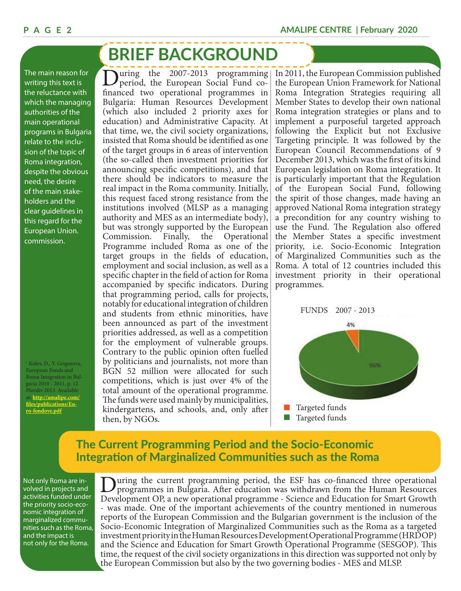# **BRIEF BACKGROUND**

The main reason for writing this text is the reluctance with which the managing authorities of the main operational programs in Bulgaria relate to the inclusion of the topic of Roma integration, despite the obvious need, the desire of the main stakeholders and the clear guidelines in this regard for the European Union. commission.

1 Kolev, D., Y. Grigorova, European Funds and Roma Integration in Bulgaria 2010 - 2011, p. 12. Plovdiv 2013. Available at: **http://amalipe.com/ fi les/publications/Euro-fondove.pdf**

During the 2007-2013 programming<br>period, the European Social Fund cofinanced two operational programmes in Bulgaria: Human Resources Development (which also included 2 priority axes for education) and Administrative Capacity. At that time, we, the civil society organizations, insisted that Roma should be identified as one of the target groups in 6 areas of intervention (the so-called then investment priorities for announcing specific competitions), and that there should be indicators to measure the real impact in the Roma community. Initially, this request faced strong resistance from the institutions involved (MLSP as a managing authority and MES as an intermediate body), but was strongly supported by the European Commission. Finally, the Operational Programme included Roma as one of the target groups in the fields of education, employment and social inclusion, as well as a specific chapter in the field of action for Roma accompanied by specific indicators. During that programming period, calls for projects, notably for educational integration of children and students from ethnic minorities, have been announced as part of the investment priorities addressed, as well as a competition for the employment of vulnerable groups. Contrary to the public opinion often fuelled by politicians and journalists, not more than BGN 52 million were allocated for such competitions, which is just over 4% of the total amount of the operational programme. The funds were used mainly by municipalities, kindergartens, and schools, and, only after then, by NGOs.

In 2011, the European Commission published the European Union Framework for National Roma Integration Strategies requiring all Member States to develop their own national Roma integration strategies or plans and to implement a purposeful targeted approach following the Explicit but not Exclusive Targeting principle. It was followed by the European Council Recommendations of 9 December 2013, which was the first of its kind European legislation on Roma integration. It is particularly important that the Regulation of the European Social Fund, following the spirit of those changes, made having an approved National Roma integration strategy a precondition for any country wishing to use the Fund. The Regulation also offered the Member States a specific investment priority, i.e. Socio-Economic Integration of Marginalized Communities such as the Roma. A total of 12 countries included this investment priority in their operational programmes.



## The Current Programming Period and the Socio-Economic Integration of Marginalized Communities such as the Roma

Not only Roma are involved in projects and activities funded under the priority socio-economic integration of marginalized communities such as the Roma, and the impact is not only for the Roma.

uring the current programming period, the ESF has co-financed three operational programmes in Bulgaria. After education was withdrawn from the Human Resources Development OP, a new operational programme - Science and Education for Smart Growth - was made. One of the important achievements of the country mentioned in numerous reports of the European Commission and the Bulgarian government is the inclusion of the Socio-Economic Integration of Marginalized Communities such as the Roma as a targeted investment priority in the Human Resources Development Operational Programme (HRDOP) and the Science and Education for Smart Growth Operational Programme (SESGOP). This time, the request of the civil society organizations in this direction was supported not only by the European Commission but also by the two governing bodies - MES and MLSP.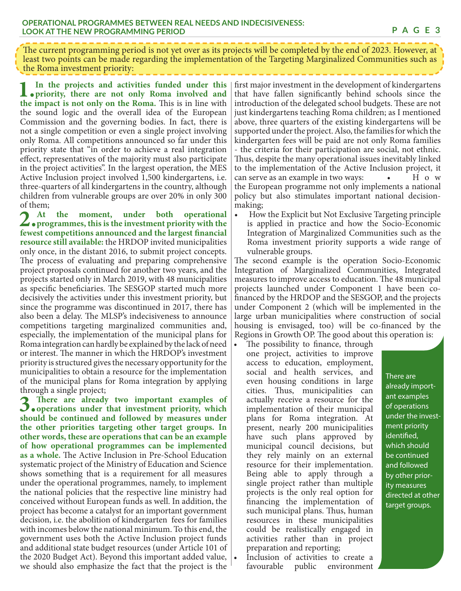The current programming period is not yet over as its projects will be completed by the end of 2023. However, at least two points can be made regarding the implementation of the Targeting Marginalized Communities such as the Roma investment priority:

**1. In the projects and activities funded under this priority, there are not only Roma involved and the impact is not only on the Roma.** This is in line with the sound logic and the overall idea of the European Commission and the governing bodies. In fact, there is not a single competition or even a single project involving only Roma. All competitions announced so far under this priority state that "in order to achieve a real integration effect, representatives of the majority must also participate in the project activities". In the largest operation, the MES Active Inclusion project involved 1,500 kindergartens, i.e. three-quarters of all kindergartens in the country, although children from vulnerable groups are over 20% in only 300 of them;

2. At the moment, under both operational<br> **Programmes, this is the investment priority with the**<br> **propriority** with the **formation**<br> **propriority** fewest competitions announced and the largest financial **resource still available:** the HRDOP invited municipalities only once, in the distant 2016, to submit project concepts. The process of evaluating and preparing comprehensive project proposals continued for another two years, and the projects started only in March 2019, with 48 municipalities as specific beneficiaries. The SESGOP started much more decisively the activities under this investment priority, but since the programme was discontinued in 2017, there has also been a delay. The MLSP's indecisiveness to announce competitions targeting marginalized communities and, especially, the implementation of the municipal plans for Roma integration can hardly be explained by the lack of need or interest. The manner in which the HRDOP's investment priority is structured gives the necessary opportunity for the municipalities to obtain a resource for the implementation of the municipal plans for Roma integration by applying through a single project;

**3. There are already two important examples of operations under that investment priority, which should be continued and followed by measures under the other priorities targeting other target groups. In other words, these are operations that can be an example of how operational programmes can be implemented**  as a whole. The Active Inclusion in Pre-School Education systematic project of the Ministry of Education and Science shows something that is a requirement for all measures under the operational programmes, namely, to implement the national policies that the respective line ministry had conceived without European funds as well. In addition, the project has become a catalyst for an important government decision, i.e. the abolition of kindergarten fees for families with incomes below the national minimum. To this end, the government uses both the Active Inclusion project funds and additional state budget resources (under Article 101 of the 2020 Budget Act). Beyond this important added value, we should also emphasize the fact that the project is the

first major investment in the development of kindergartens that have fallen significantly behind schools since the introduction of the delegated school budgets. These are not just kindergartens teaching Roma children; as I mentioned above, three quarters of the existing kindergartens will be supported under the project. Also, the families for which the kindergarten fees will be paid are not only Roma families - the criteria for their participation are social, not ethnic. Thus, despite the many operational issues inevitably linked to the implementation of the Active Inclusion project, it can serve as an example in two ways:  $\bullet$  H o w the European programme not only implements a national policy but also stimulates important national decisionmaking;

• How the Explicit but Not Exclusive Targeting principle is applied in practice and how the Socio-Economic Integration of Marginalized Communities such as the Roma investment priority supports a wide range of vulnerable groups.

The second example is the operation Socio-Economic Integration of Marginalized Communities, Integrated measures to improve access to education. The 48 municipal projects launched under Component 1 have been cofinanced by the HRDOP and the SESGOP, and the projects under Component 2 (which will be implemented in the large urban municipalities where construction of social housing is envisaged, too) will be co-financed by the Regions in Growth OP. The good about this operation is:

The possibility to finance, through one project, activities to improve access to education, employment, social and health services, and even housing conditions in large cities. Thus, municipalities can actually receive a resource for the implementation of their municipal plans for Roma integration. At present, nearly 200 municipalities have such plans approved by municipal council decisions, but they rely mainly on an external resource for their implementation. Being able to apply through a single project rather than multiple projects is the only real option for financing the implementation of such municipal plans. Thus, human resources in these municipalities could be realistically engaged in activities rather than in project preparation and reporting;

Inclusion of activities to create a favourable public environment There are already important examples of operations under the investment priority identified, which should be continued and followed by other priority measures directed at other target groups.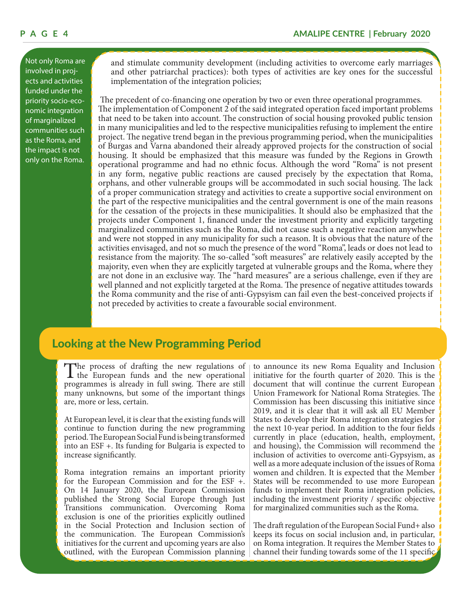Not only Roma are involved in projects and activities funded under the priority socio-economic integration of marginalized communities such as the Roma, and the impact is not only on the Roma.

and stimulate community development (including activities to overcome early marriages and other patriarchal practices): both types of activities are key ones for the successful implementation of the integration policies;

 The precedent of co-financing one operation by two or even three operational programmes. The implementation of Component 2 of the said integrated operation faced important problems that need to be taken into account. The construction of social housing provoked public tension in many municipalities and led to the respective municipalities refusing to implement the entire project. The negative trend began in the previous programming period, when the municipalities of Burgas and Varna abandoned their already approved projects for the construction of social housing. It should be emphasized that this measure was funded by the Regions in Growth operational programme and had no ethnic focus. Although the word "Roma" is not present in any form, negative public reactions are caused precisely by the expectation that Roma, orphans, and other vulnerable groups will be accommodated in such social housing. The lack of a proper communication strategy and activities to create a supportive social environment on the part of the respective municipalities and the central government is one of the main reasons for the cessation of the projects in these municipalities. It should also be emphasized that the projects under Component 1, financed under the investment priority and explicitly targeting marginalized communities such as the Roma, did not cause such a negative reaction anywhere and were not stopped in any municipality for such a reason. It is obvious that the nature of the activities envisaged, and not so much the presence of the word "Roma", leads or does not lead to resistance from the majority. The so-called "soft measures" are relatively easily accepted by the majority, even when they are explicitly targeted at vulnerable groups and the Roma, where they are not done in an exclusive way. The "hard measures" are a serious challenge, even if they are well planned and not explicitly targeted at the Roma. The presence of negative attitudes towards the Roma community and the rise of anti-Gypsyism can fail even the best-conceived projects if not preceded by activities to create a favourable social environment.

### Looking at the New Programming Period

The process of drafting the new regulations of the European funds and the new operational programmes is globally in full guing. There are still programmes is already in full swing. There are still many unknowns, but some of the important things are, more or less, certain.

At European level, it is clear that the existing funds will continue to function during the new programming period. The European Social Fund is being transformed into an ESF +. Its funding for Bulgaria is expected to increase significantly.

Roma integration remains an important priority for the European Commission and for the ESF +. On 14 January 2020, the European Commission published the Strong Social Europe through Just Transitions communication. Overcoming Roma exclusion is one of the priorities explicitly outlined in the Social Protection and Inclusion section of the communication. The European Commission's initiatives for the current and upcoming years are also outlined, with the European Commission planning

to announce its new Roma Equality and Inclusion initiative for the fourth quarter of 2020. This is the document that will continue the current European Union Framework for National Roma Strategies. The Commission has been discussing this initiative since 2019, and it is clear that it will ask all EU Member States to develop their Roma integration strategies for the next 10-year period. In addition to the four fields currently in place (education, health, employment, and housing), the Commission will recommend the inclusion of activities to overcome anti-Gypsyism, as well as a more adequate inclusion of the issues of Roma women and children. It is expected that the Member States will be recommended to use more European funds to implement their Roma integration policies, including the investment priority / specific objective for marginalized communities such as the Roma.

The draft regulation of the European Social Fund+ also keeps its focus on social inclusion and, in particular, on Roma integration. It requires the Member States to channel their funding towards some of the 11 specific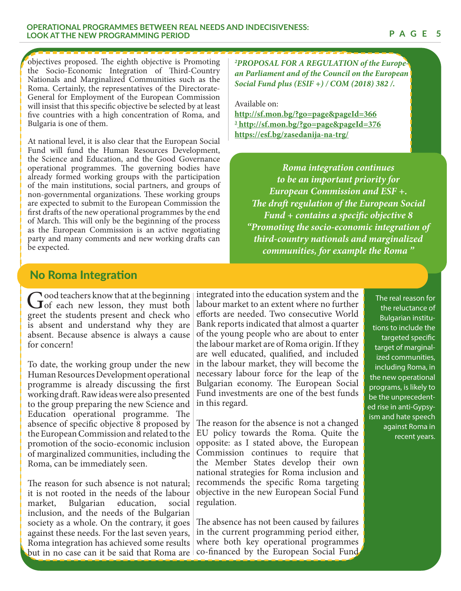#### **OPERATIONAL PROGRAMMES BETWEEN REAL NEEDS AND INDECISIVENESS: LOOK AT THE NEW PROGRAMMING PERIOD**

objectives proposed. The eighth objective is Promoting the Socio-Economic Integration of Third-Country Nationals and Marginalized Communities such as the Roma. Certainly, the representatives of the Directorate-General for Employment of the European Commission will insist that this specific objective be selected by at least five countries with a high concentration of Roma, and Bulgaria is one of them.

At national level, it is also clear that the European Social Fund will fund the Human Resources Development, the Science and Education, and the Good Governance operational programmes. The governing bodies have already formed working groups with the participation of the main institutions, social partners, and groups of non-governmental organizations. These working groups are expected to submit to the European Commission the first drafts of the new operational programmes by the end of March. This will only be the beginning of the process as the European Commission is an active negotiating party and many comments and new working drafts can be expected.

*2 PROPOSAL FOR A REGULATION of the European Parliament and of the Council on the European Social Fund plus (ESIF +) / COM (2018) 382 /.*

Available on:

**http://sf.mon.bg/?go=page&pageId=366 3 http://sf.mon.bg/?go=page&pageId=376 https://esf.bg/zasedanija-na-trg/**

*Roma integration continues to be an important priority for European Commission and ESF +. The draft regulation of the European Social Fund + contains a specific objective 8 "Promoting the socio-economic integration of third-country nationals and marginalized communities, for example the Roma "*

### No Roma Integration

Good teachers know that at the beginning<br>
of each new lesson, they must both<br>
of the students present and sheels who greet the students present and check who is absent and understand why they are absent. Because absence is always a cause for concern!

To date, the working group under the new Human Resources Development operational programme is already discussing the first working draft. Raw ideas were also presented to the group preparing the new Science and Education operational programme. The absence of specific objective 8 proposed by the European Commission and related to the promotion of the socio-economic inclusion of marginalized communities, including the Roma, can be immediately seen.

The reason for such absence is not natural; it is not rooted in the needs of the labour market, Bulgarian education, social inclusion, and the needs of the Bulgarian society as a whole. On the contrary, it goes against these needs. For the last seven years, Roma integration has achieved some results but in no case can it be said that Roma are integrated into the education system and the labour market to an extent where no further efforts are needed. Two consecutive World Bank reports indicated that almost a quarter of the young people who are about to enter the labour market are of Roma origin. If they are well educated, qualified, and included in the labour market, they will become the necessary labour force for the leap of the Bulgarian economy. The European Social Fund investments are one of the best funds in this regard.

The reason for the absence is not a changed EU policy towards the Roma. Quite the opposite: as I stated above, the European Commission continues to require that the Member States develop their own national strategies for Roma inclusion and recommends the specific Roma targeting objective in the new European Social Fund regulation.

The absence has not been caused by failures in the current programming period either, where both key operational programmes co-financed by the European Social Fund

The real reason for the reluctance of Bulgarian institutions to include the targeted specific target of marginalized communities, including Roma, in the new operational programs, is likely to be the unprecedented rise in anti-Gypsyism and hate speech against Roma in recent years.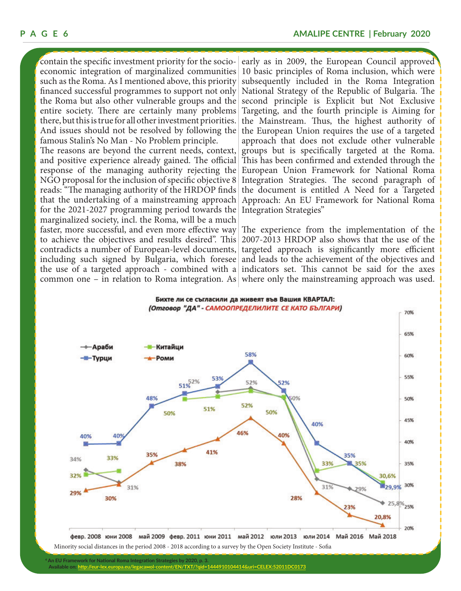contain the specific investment priority for the socioeconomic integration of marginalized communities such as the Roma. As I mentioned above, this priority financed successful programmes to support not only the Roma but also other vulnerable groups and the entire society. There are certainly many problems there, but this is true for all other investment priorities. And issues should not be resolved by following the famous Stalin's No Man - No Problem principle.

The reasons are beyond the current needs, context, and positive experience already gained. The official response of the managing authority rejecting the NGO proposal for the inclusion of specific objective 8 reads: "The managing authority of the HRDOP finds that the undertaking of a mainstreaming approach for the 2021-2027 programming period towards the marginalized society, incl. the Roma, will be a much faster, more successful, and even more effective way to achieve the objectives and results desired". This contradicts a number of European-level documents, including such signed by Bulgaria, which foresee the use of a targeted approach - combined with a common one – in relation to Roma integration. As

early as in 2009, the European Council approved 10 basic principles of Roma inclusion, which were subsequently included in the Roma Integration National Strategy of the Republic of Bulgaria. The second principle is Explicit but Not Exclusive Targeting, and the fourth principle is Aiming for the Mainstream. Thus, the highest authority of the European Union requires the use of a targeted approach that does not exclude other vulnerable groups but is specifically targeted at the Roma. This has been confirmed and extended through the European Union Framework for National Roma Integration Strategies. The second paragraph of the document is entitled A Need for a Targeted Approach: An EU Framework for National Roma Integration Strategies"

The experience from the implementation of the 2007-2013 HRDOP also shows that the use of the targeted approach is significantly more efficient and leads to the achievement of the objectives and indicators set. This cannot be said for the axes where only the mainstreaming approach was used.



Minority social distances in the period 2008 - 2018 according to a survey by the Open Society Institute - Sofia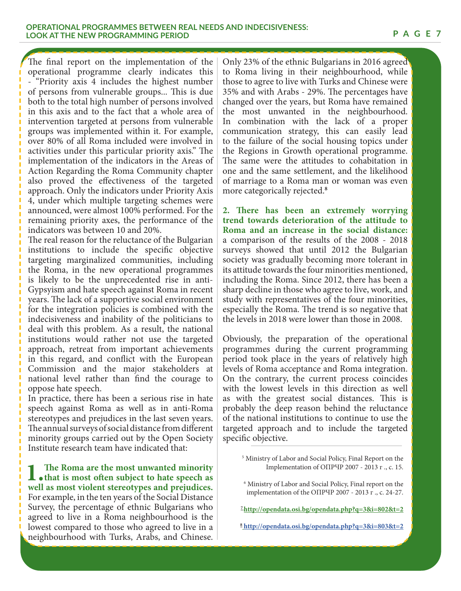**P A G E 7**

The final report on the implementation of the operational programme clearly indicates this - "Priority axis 4 includes the highest number of persons from vulnerable groups... This is due both to the total high number of persons involved in this axis and to the fact that a whole area of intervention targeted at persons from vulnerable groups was implemented within it. For example, over 80% of all Roma included were involved in activities under this particular priority axis." The implementation of the indicators in the Areas of Action Regarding the Roma Community chapter also proved the effectiveness of the targeted approach. Only the indicators under Priority Axis 4, under which multiple targeting schemes were announced, were almost 100% performed. For the remaining priority axes, the performance of the indicators was between 10 and 20%.

The real reason for the reluctance of the Bulgarian institutions to include the specific objective targeting marginalized communities, including the Roma, in the new operational programmes is likely to be the unprecedented rise in anti-Gypsyism and hate speech against Roma in recent years. The lack of a supportive social environment for the integration policies is combined with the indecisiveness and inability of the politicians to deal with this problem. As a result, the national institutions would rather not use the targeted approach, retreat from important achievements in this regard, and conflict with the European Commission and the major stakeholders at national level rather than find the courage to oppose hate speech.

In practice, there has been a serious rise in hate speech against Roma as well as in anti-Roma stereotypes and prejudices in the last seven years. The annual surveys of social distance from different minority groups carried out by the Open Society Institute research team have indicated that:

**1.** The Roma are the most unwanted minority **that is most often subject to hate speech as**  $\text{null}$  as most vialent standings and nuclear speech as **well as most violent stereotypes and prejudices.**  For example, in the ten years of the Social Distance Survey, the percentage of ethnic Bulgarians who agreed to live in a Roma neighbourhood is the lowest compared to those who agreed to live in a neighbourhood with Turks, Arabs, and Chinese.

Only 23% of the ethnic Bulgarians in 2016 agreed to Roma living in their neighbourhood, while those to agree to live with Turks and Chinese were 35% and with Arabs - 29%. The percentages have changed over the years, but Roma have remained the most unwanted in the neighbourhood. In combination with the lack of a proper communication strategy, this can easily lead to the failure of the social housing topics under the Regions in Growth operational programme. The same were the attitudes to cohabitation in one and the same settlement, and the likelihood of marriage to a Roma man or woman was even more categorically rejected.**<sup>8</sup>**

**2. There has been an extremely worrying trend towards deterioration of the attitude to Roma and an increase in the social distance:**  a comparison of the results of the 2008 - 2018 surveys showed that until 2012 the Bulgarian society was gradually becoming more tolerant in its attitude towards the four minorities mentioned, including the Roma. Since 2012, there has been a sharp decline in those who agree to live, work, and study with representatives of the four minorities, especially the Roma. The trend is so negative that the levels in 2018 were lower than those in 2008.

Obviously, the preparation of the operational programmes during the current programming period took place in the years of relatively high levels of Roma acceptance and Roma integration. On the contrary, the current process coincides with the lowest levels in this direction as well as with the greatest social distances. This is probably the deep reason behind the reluctance of the national institutions to continue to use the targeted approach and to include the targeted specific objective.

6 Ministry of Labor and Social Policy, Final report on the implementation of the ОПРЧР 2007 - 2013 г ., с. 24-27.

**7http://opendata.osi.bg/opendata.php?q=3&i=802&t=2**

**<sup>8</sup> http://opendata.osi.bg/opendata.php?q=3&i=803&t=2**

<sup>5</sup> Ministry of Labor and Social Policy, Final Report on the Implementation of ОПРЧР 2007 - 2013 г ., с. 15.